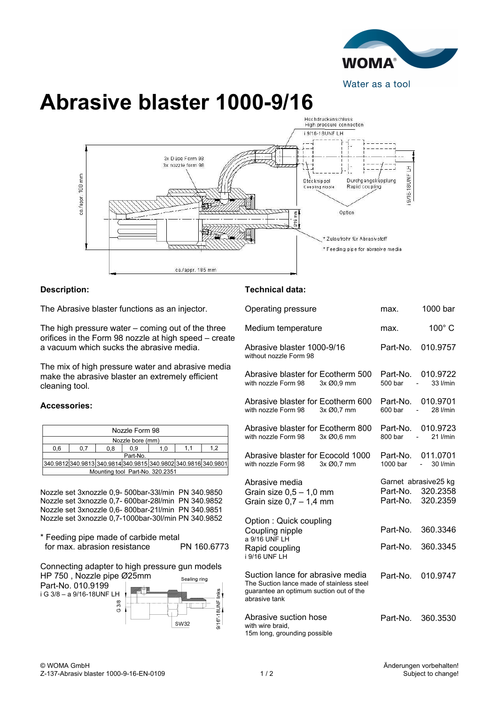

## **Abrasive blaster 1000-9/16**



## **Description:**

The Abrasive blaster functions as an injector.

The high pressure water – coming out of the three orifices in the Form 98 nozzle at high speed – create a vacuum which sucks the abrasive media.

The mix of high pressure water and abrasive media make the abrasive blaster an extremely efficient cleaning tool.

## **Accessories:**

| Nozzle Form 98                                                 |     |     |     |     |  |    |  |
|----------------------------------------------------------------|-----|-----|-----|-----|--|----|--|
| Nozzle bore (mm)                                               |     |     |     |     |  |    |  |
| 0.6                                                            | 0.7 | 0.8 | ი 9 | 1.0 |  | 12 |  |
| Part-No.                                                       |     |     |     |     |  |    |  |
| 340.9812 340.9813 340.9814 340.9815 340.9802 340.9816 340.9801 |     |     |     |     |  |    |  |
| Mounting tool Part-No. 320.2351                                |     |     |     |     |  |    |  |

Nozzle set 3xnozzle 0,9- 500bar-33l/min PN 340.9850 Nozzle set 3xnozzle 0,7- 600bar-28l/min PN 340.9852 Nozzle set 3xnozzle 0,6- 800bar-21l/min PN 340.9851 Nozzle set 3xnozzle 0,7-1000bar-30l/min PN 340.9852

\* Feeding pipe made of carbide metal for max. abrasion resistance

Connecting adapter to high pressure gun models HP 750 , Nozzle pipe Ø25mm



## **Technical data:**

| Operating pressure                                                                                                                        | max.                 | 1000 bar                                           |
|-------------------------------------------------------------------------------------------------------------------------------------------|----------------------|----------------------------------------------------|
| Medium temperature                                                                                                                        | max.                 | 100° C                                             |
| Abrasive blaster 1000-9/16<br>without nozzle Form 98                                                                                      | Part-No.             | 010.9757                                           |
| Abrasive blaster for Ecotherm 500<br>with nozzle Form 98<br>3x Ø0,9 mm                                                                    | Part-No.<br>500 bar  | 010.9722<br>33 l/min<br>$\overline{\phantom{a}}$   |
| Abrasive blaster for Ecotherm 600<br>with nozzle Form 98<br>3x Ø0.7 mm                                                                    | Part-No.<br>600 bar  | 010.9701<br>28 I/min<br>$\frac{1}{2}$              |
| Abrasive blaster for Ecotherm 800<br>with nozzle Form 98<br>3x Ø0.6 mm                                                                    | Part-No.<br>800 bar  | 010.9723<br>$21$ I/min<br>$\overline{\phantom{a}}$ |
| Abrasive blaster for Ecocold 1000<br>3x Ø0.7 mm<br>with nozzle Form 98                                                                    | Part-No.<br>1000 bar | 011.0701<br>30 l/min<br>$\sim$ 10 $\pm$            |
| Abrasive media<br>Grain size $0.5 - 1.0$ mm<br>Grain size $0,7 - 1,4$ mm                                                                  | Part-No.<br>Part-No. | Garnet abrasive25 kg<br>320.2358<br>320.2359       |
| Option: Quick coupling<br>Coupling nipple<br>a 9/16 UNF LH<br>Rapid coupling<br>i 9/16 UNF LH                                             | Part-No.<br>Part-No. | 360.3346<br>360.3345                               |
| Suction lance for abrasive media<br>The Suction lance made of stainless steel<br>quarantee an optimum suction out of the<br>abrasive tank | Part-No.             | 010.9747                                           |
| Abrasive suction hose<br>with wire braid,<br>15m long, grounding possible                                                                 | Part-No.             | 360.3530                                           |